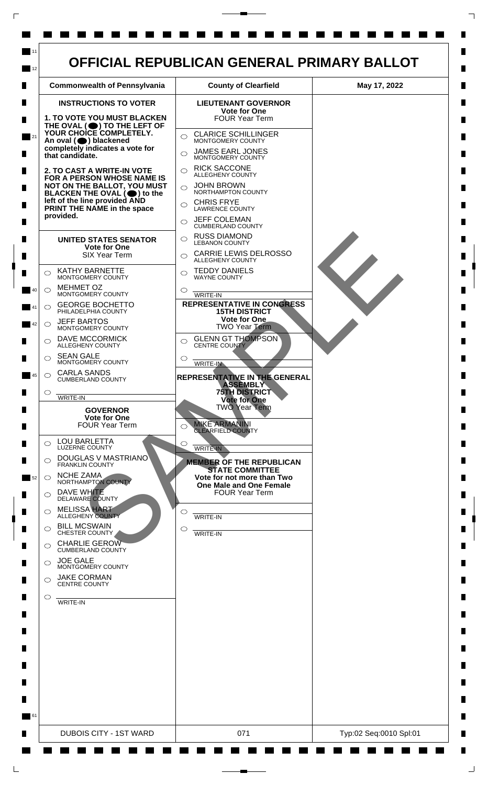

 $\mathsf{L}$